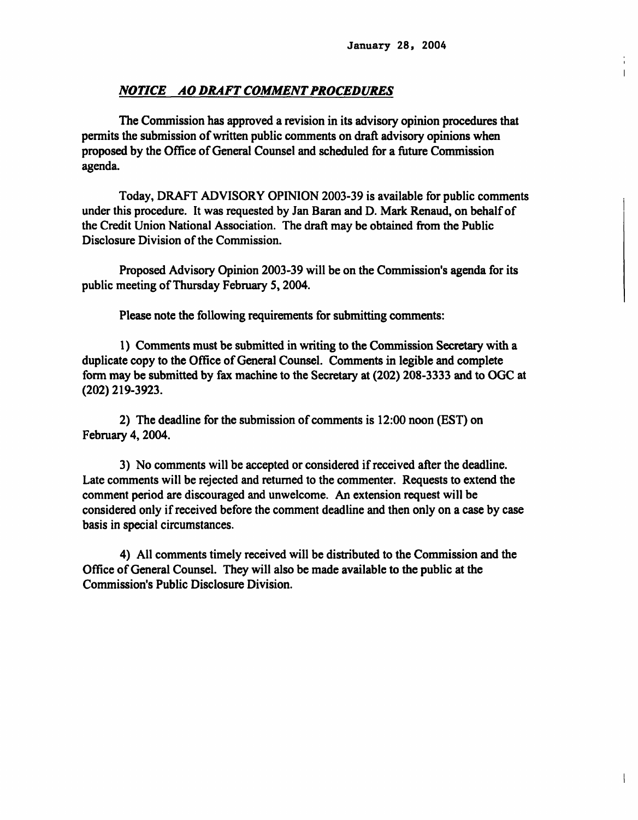#### NOTICE AO DRAFT COMMENT PROCEDURES

The Commission has approved a revision in its advisory opinion procedures that permits the submission of written public comments on draft advisory opinions when proposed by the Office of General Counsel and scheduled for a future Commission agenda.

Today, DRAFT ADVISORY OPINION 2003-39 is available for public comments under this procedure. It was requested by Jan Baran and D. Mark Renaud, on behalf of the Credit Union National Association. The draft may be obtained from the Public Disclosure Division of the Commission.

Proposed Advisory Opinion 2003-39 will be on the Commission's agenda for its public meeting of Thursday February 5, 2004.

Please note the following requirements for submitting comments:

1) Comments must be submitted in writing to the Commission Secretary with a duplicate copy to the Office of General Counsel. Comments in legible and complete form may be submitted by fax machine to the Secretary at (202) 208-3333 and to OGC at (202) 219-3923.

2) The deadline for the submission of comments is 12:00 noon (EST) on February 4, 2004.

3) No comments will be accepted or considered if received after the deadline. Late comments will be rejected and returned to the commenter. Requests to extend the comment period are discouraged and unwelcome. An extension request will be considered only if received before the comment deadline and then only on a case by case basis in special circumstances.

4) All comments timely received will be distributed to the Commission and the Office of General Counsel. They will also be made available to the public at the Commission's Public Disclosure Division.

 $\mathbf{I}$ 

 $\mathbf{L}$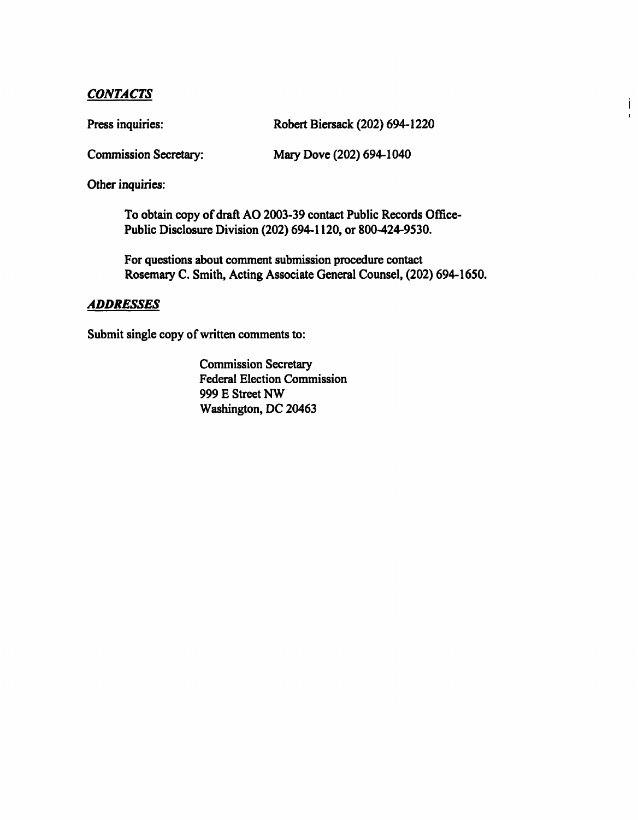### **CONTACTS**

Press inquiries: Robert Biersack (202) 694-1220

Ť  $\mathbf{I}$ 

Commission Secretary: Mary Dove (202) 694-1040

Other inquiries:

To obtain copy of draft AO 2003-39 contact Public Records Office-Public Disclosure Division (202) 694-1120, or 800-424-9530.

For questions about comment submission procedure contact Rosemary C. Smith, Acting Associate General Counsel, (202) 694-1650.

## ADDRESSES

Submit single copy of written comments to:

Commission Secretary Federal Election Commission 999 E Street NW Washington, DC 20463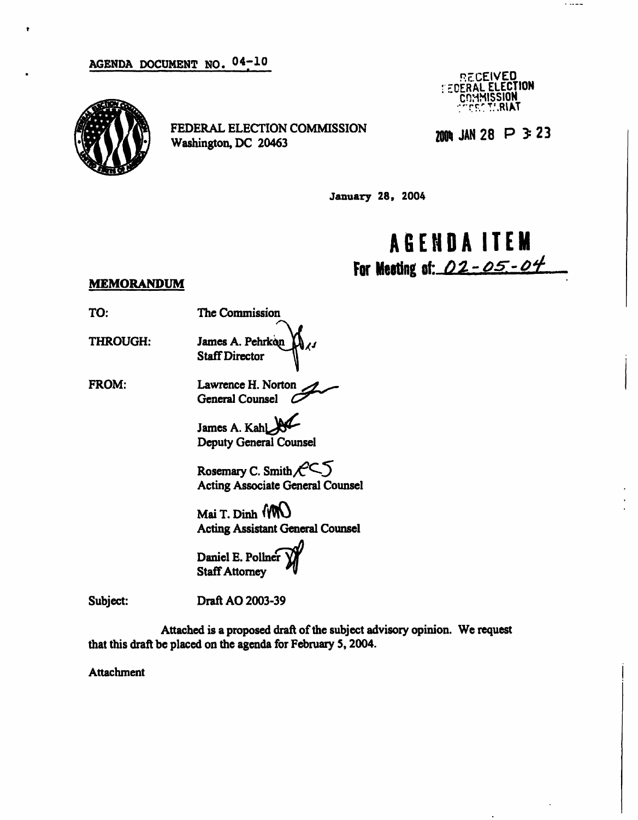

FEDERAL ELECTION COMMISSION  $\frac{1}{1000}$  JAN 28  $\overline{P}$  3:23 Washington, DC 20463

" RECEIVED **: EDERAL ELECTION** COMMISSION

. ....

January 28, 2004

## AGEND A ITE M For Meating of:  $02 - 05 - 04$

### MEMORANDUM

- TO: The Commission
- 

THROUGH: James A. Pehrkon Staff Director

FROM: Lawrence H. Norton General Counsel O

> James A. Kahl Deputy General Counsel

Rosemary C. Smith $f^{\prime\prime}$ Acting Associate General Counsel

Mai T. Dinh (MU) Acting Assistant General Counsel

Daniel E. Pollner Staff Attorney

Subject: Draft AO 2003-39

Attached is a proposed draft of the subject advisory opinion. We request that this draft be placed on the agenda for February 5, 2004.

Attachment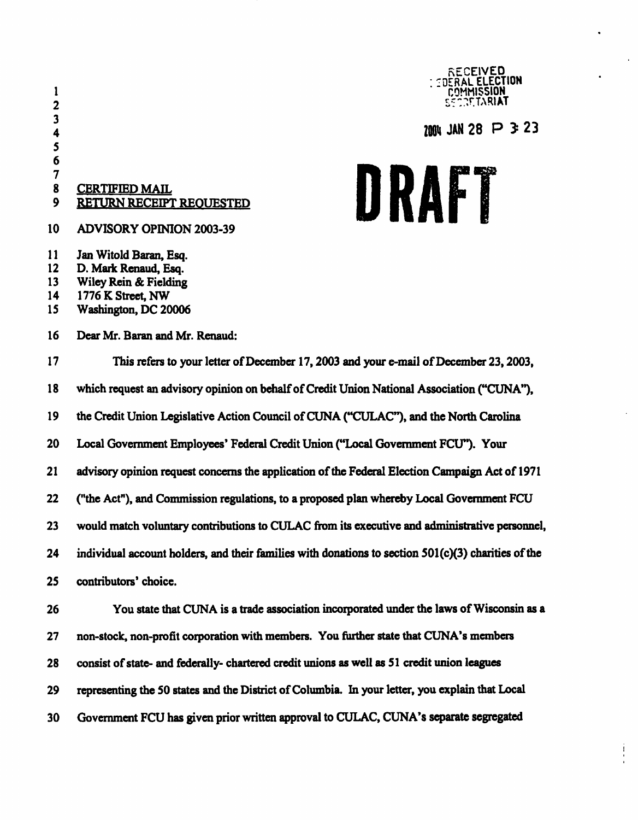

## $\frac{3}{4}$  28 P 3 23

 $\frac{1}{2}$ 

DRAFT

## **CERTIFIED MAIL** 9 RETURN RECEIPT REQUESTED

- 10 ADVISORY OPINION 2003-39
- 11 Jan Witold Baran, Esq.
- 12 D. Mark Renaud, Esq.
- 13 Wiley Rein & Fielding
- 14 1776 K Street, NW
- 15 Washington, DC 20006
- 16 Dear Mr. Baran and Mr. Renaud:

# 17 This refers to your letter of December 17,2003 and your e-mail of December 23,2003, 18 which request an advisory opinion on behalf of Credit Union National Association ("CUNA"), 19 the Credit Union Legislative Action Council of CUNA ("CULAC"), and the North Carolina 20 Local Government Employees' Federal Credit Union ("Local Government FCU"). Your 21 advisory opinion request concerns the application of the Federal Election Campaign Act of 1971 22 ("the Act"), and Commission regulations, to a proposed plan whereby Local Government FCU 23 would match voluntary contributions to CULAC from its executive and administrative personnel, 24 individual account holders, and their families with donations to section 501(c)(3) charities of the 25 contributors' choice. 26 You state that CUNA is a trade association incorporated under the laws of Wisconsin as a 27 non-stock, non-profit corporation with members. You further state that CUNA's members 28 consist of state- and federally- chartered credit unions as well as 51 credit union leagues

- 29 representing the 50 states and the District of Columbia. In your letter, you explain that Local
- 30 Government FCU has given prior written approval to CULAC, CUNA's separate segregated

 $\frac{7}{8}$ 

5 6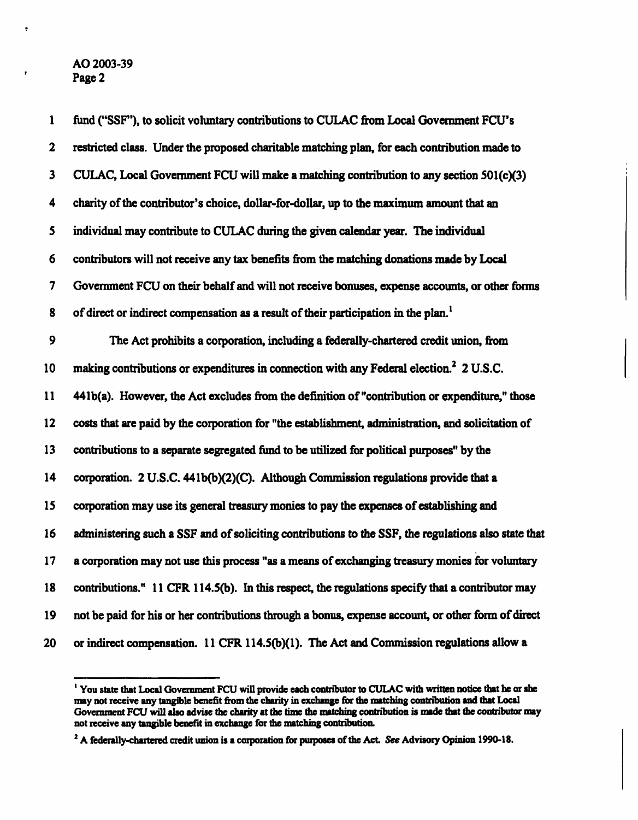#### AO 2003-39 Page 2

ę

| $\mathbf{1}$ | fund ("SSF"), to solicit voluntary contributions to CULAC from Local Government FCU's                |
|--------------|------------------------------------------------------------------------------------------------------|
| $\mathbf 2$  | restricted class. Under the proposed charitable matching plan, for each contribution made to         |
| $\mathbf{3}$ | CULAC, Local Government FCU will make a matching contribution to any section 501(c)(3)               |
| 4            | charity of the contributor's choice, dollar-for-dollar, up to the maximum amount that an             |
| 5            | individual may contribute to CULAC during the given calendar year. The individual                    |
| 6            | contributors will not receive any tax benefits from the matching donations made by Local             |
| 7            | Government FCU on their behalf and will not receive bonuses, expense accounts, or other forms        |
| 8            | of direct or indirect compensation as a result of their participation in the plan. <sup>1</sup>      |
| 9            | The Act prohibits a corporation, including a federally-chartered credit union, from                  |
| 10           | making contributions or expenditures in connection with any Federal election. <sup>2</sup> 2 U.S.C.  |
| 11           | 441b(a). However, the Act excludes from the definition of "contribution or expenditure," those       |
| $12 \,$      | costs that are paid by the corporation for "the establishment, administration, and solicitation of   |
| 13           | contributions to a separate segregated fund to be utilized for political purposes" by the            |
| 14           | corporation. 2 U.S.C. 441b(b)(2)(C). Although Commission regulations provide that a                  |
| 15           | corporation may use its general treasury monies to pay the expenses of establishing and              |
| 16           | administering such a SSF and of soliciting contributions to the SSF, the regulations also state that |
| 17           | a corporation may not use this process "as a means of exchanging treasury monies for voluntary       |
| 18           | contributions." 11 CFR 114.5(b). In this respect, the regulations specify that a contributor may     |
| 19           | not be paid for his or her contributions through a bonus, expense account, or other form of direct   |
| 20           | or indirect compensation. 11 CFR 114.5(b)(1). The Act and Commission regulations allow a             |

<sup>&</sup>lt;sup>1</sup> You state that Local Government FCU will provide each contributor to CULAC with written notice that he or she may not receive any tangible benefit from the charity in exchange for the matching contribution and that Local Government FCU will also advise the charity at the time the matching contribution is made that the contributor may not receive any tangible benefit in exchange for the matching contribution.

<sup>&</sup>lt;sup>2</sup> A federally-chartered credit union is a corporation for purposes of the Act. See Advisory Opinion 1990-18.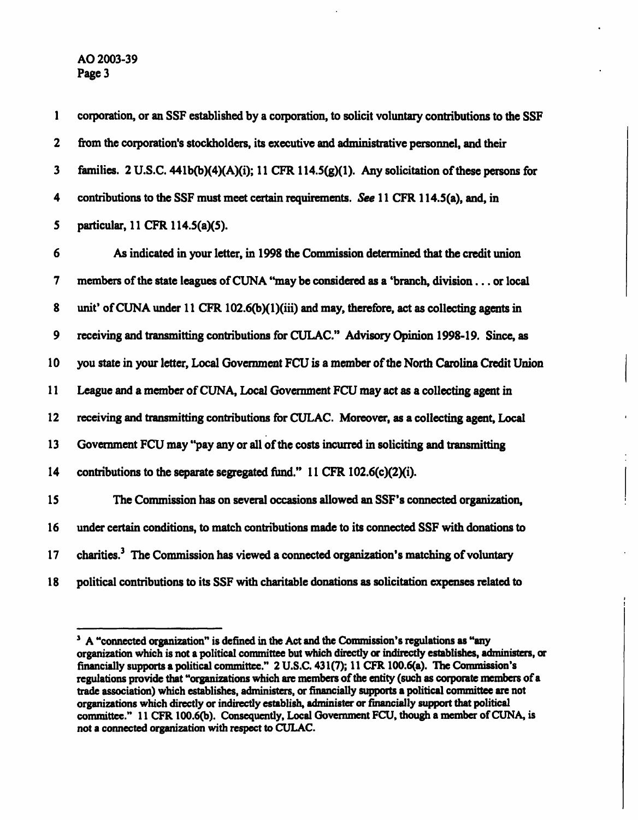1 corporation, or an SSF established by a corporation, to solicit voluntary contributions to the SSF 2 from the corporation's stockholders, its executive and administrative personnel, and their 3 families. 2 U.S.C. 441b(b)(4)(A)(i); 11 CFR 114.5(g)(l). Any solicitation of these persons for 4 contributions to the SSF must meet certain requirements. See 11 CFR 114.5(a), and, in 5 particular, 11 CFR 114.5(a)(5). 6 As indicated in your letter, in 1998 the Commission determined that the credit union 7 members of the state leagues of CUNA "may be considered as a 'branch, division... or local 8 unit' of CUNA under 11 CFR 102.6(b)(1)(iii) and may, therefore, act as collecting agents in 9 receiving and transmitting contributions for CULAC." Advisory Opinion 1998-19. Since, as 10 you state in your letter, Local Government FCU is a member of the North Carolina Credit Union 11 League and a member of CUNA, Local Government FCU may act as a collecting agent in 12 receiving and transmitting contributions for CULAC. Moreover, as a collecting agent, Local 13 Government FCU may "pay any or all of the costs incurred in soliciting and transmitting 14 contributions to the separate segregated fund." 11 CFR 102.6(c)(2)(i). 15 The Commission has on several occasions allowed an SSF's connected organization, 16 under certain conditions, to match contributions made to its connected SSF with donations to 17 charities.<sup>3</sup> The Commission has viewed a connected organization's matching of voluntary 18 political contributions to its SSF with charitable donations as solicitation expenses related to

<sup>&</sup>lt;sup>3</sup> A "connected organization" is defined in the Act and the Commission's regulations as "any organization which is not a political committee but which directly or indirectly establishes, administers, or financially supports a political committee." 2 U.S.C. 431(7); 11 CFR 100.6(a). The Commission's regulations provide that "organizations which are members of the entity (such as corporate members of a trade association) which establishes, administers, or financially supports a political committee are not organizations which directly or indirectly establish, administer or financially support that political committee." 11 CFR 100.6(b). Consequently, Local Government FCU, though a member of CUNA, is not a connected organization with respect to CULAC.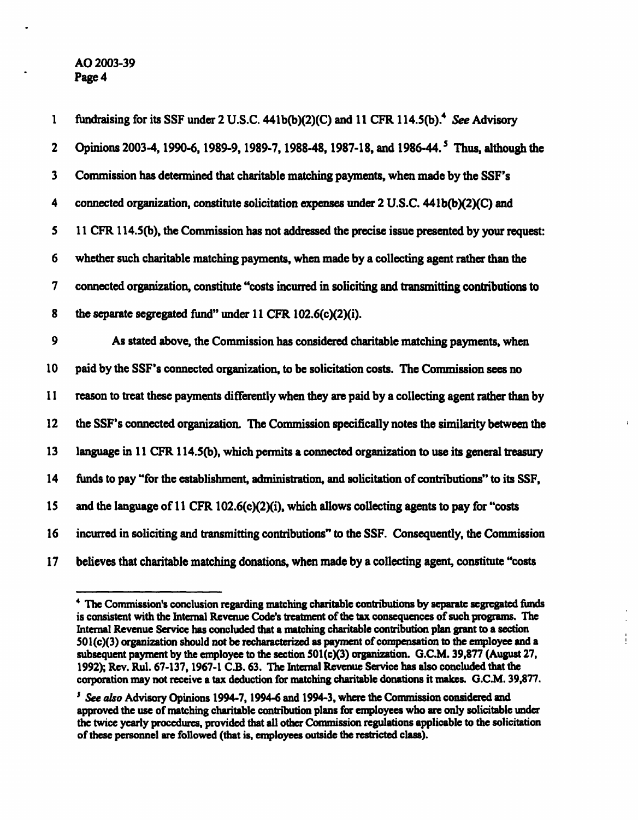AO 2003-39 Page 4

1 fundraising for its SSF under 2 U.S.C. 441b(b)(2)(C) and 11 CFR 114.5(b).<sup>4</sup> See Advisory 2 Opinions 2003-4, 1990-6, 1989-9, 1989-7, 1988-48, 1987-18, and 1986-44.<sup>5</sup> Thus, although the 3 Commission has determined that charitable matching payments, when made by the SSF's 4 connected organization, constitute solicitation expenses under 2 U.S.C. 441b(bX2)(C) and 5 11 CFR 114.5(b), the Commission has not addressed the precise issue presented by your request: 6 whether such charitable matching payments, when made by a collecting agent rather than the 7 connected organization, constitute "costs incurred in soliciting and transmitting contributions to 8 the separate segregated fund" under 11 CFR 102.6(c)(2)(i). 9 As stated above, the Commission has considered charitable matching payments, when 10 paid by the SSF's connected organization, to be solicitation costs. The Commission sees no 11 reason to treat these payments differently when they are paid by a collecting agent rather than by 12 the SSF's connected organization. The Commission specifically notes the similarity between the 13 language in 11 CFR 114.5(b), which permits a connected organization to use its general treasury 14 funds to pay "for the establishment, administration, and solicitation of contributions" to its SSF, 15 and the language of 11 CFR 102.6(c)(2)(i), which allows collecting agents to pay for "costs 16 incurred in soliciting and transmitting contributions" to the SSF. Consequently, the Commission 17 believes that charitable matching donations, when made by a collecting agent, constitute "costs

ŧ

<sup>4</sup> The Commission's conclusion regarding matching charitable contributions by separate segregated funds is consistent with the Internal Revenue Code's treatment of the tax consequences of such programs. The Internal Revenue Service has concluded that a matching charitable contribution plan grant to a section 501(c)(3) organization should not be recharacterized as payment of compensation to the employee and a subsequent payment by the employee to the section 501(c)(3) organization. G.C.M. 39,877 (August 27, 1992); Rev. Rul. 67-137,1967-1 C.B. 63. The Internal Revenue Service has also concluded that the corporation may not receive a tax deduction for matching charitable donations it makes. G.C.M. 39,877.

<sup>&</sup>lt;sup>5</sup> See also Advisory Opinions 1994-7, 1994-6 and 1994-3, where the Commission considered and approved the use of matching charitable contribution plans for employees who are only solicitable under the twice yearly procedures, provided that all other Commission regulations applicable to the solicitation of these personnel are followed (that is, employees outside the restricted class).